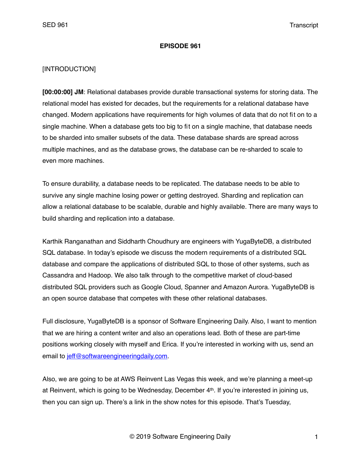### **EPISODE 961**

## [INTRODUCTION]

**[00:00:00] JM**: Relational databases provide durable transactional systems for storing data. The relational model has existed for decades, but the requirements for a relational database have changed. Modern applications have requirements for high volumes of data that do not fit on to a single machine. When a database gets too big to fit on a single machine, that database needs to be sharded into smaller subsets of the data. These database shards are spread across multiple machines, and as the database grows, the database can be re-sharded to scale to even more machines.

To ensure durability, a database needs to be replicated. The database needs to be able to survive any single machine losing power or getting destroyed. Sharding and replication can allow a relational database to be scalable, durable and highly available. There are many ways to build sharding and replication into a database.

Karthik Ranganathan and Siddharth Choudhury are engineers with YugaByteDB, a distributed SQL database. In today's episode we discuss the modern requirements of a distributed SQL database and compare the applications of distributed SQL to those of other systems, such as Cassandra and Hadoop. We also talk through to the competitive market of cloud-based distributed SQL providers such as Google Cloud, Spanner and Amazon Aurora. YugaByteDB is an open source database that competes with these other relational databases.

Full disclosure, YugaByteDB is a sponsor of Software Engineering Daily. Also, I want to mention that we are hiring a content writer and also an operations lead. Both of these are part-time positions working closely with myself and Erica. If you're interested in working with us, send an email to [jeff@softwareengineeringdaily.com.](mailto:jeff@softwareengineeringdaily.com)

Also, we are going to be at AWS Reinvent Las Vegas this week, and we're planning a meet-up at Reinvent, which is going to be Wednesday, December 4<sup>th</sup>. If you're interested in joining us, then you can sign up. There's a link in the show notes for this episode. That's Tuesday,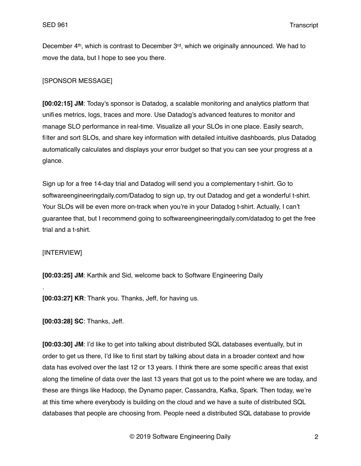December 4th, which is contrast to December 3rd, which we originally announced. We had to move the data, but I hope to see you there.

## [SPONSOR MESSAGE]

**[00:02:15] JM**: Today's sponsor is Datadog, a scalable monitoring and analytics platform that unifies metrics, logs, traces and more. Use Datadog's advanced features to monitor and manage SLO performance in real-time. Visualize all your SLOs in one place. Easily search, filter and sort SLOs, and share key information with detailed intuitive dashboards, plus Datadog automatically calculates and displays your error budget so that you can see your progress at a glance.

Sign up for a free 14-day trial and Datadog will send you a complementary t-shirt. Go to softwareengineeringdaily.com/Datadog to sign up, try out Datadog and get a wonderful t-shirt. Your SLOs will be even more on-track when you're in your Datadog t-shirt. Actually, I can't guarantee that, but I recommend going to softwareengineeringdaily.com/datadog to get the free trial and a t-shirt.

## [INTERVIEW]

.

**[00:03:25] JM**: Karthik and Sid, welcome back to Software Engineering Daily

**[00:03:27] KR**: Thank you. Thanks, Jeff, for having us.

**[00:03:28] SC**: Thanks, Jeff.

**[00:03:30] JM**: I'd like to get into talking about distributed SQL databases eventually, but in order to get us there, I'd like to first start by talking about data in a broader context and how data has evolved over the last 12 or 13 years. I think there are some specific areas that exist along the timeline of data over the last 13 years that got us to the point where we are today, and these are things like Hadoop, the Dynamo paper, Cassandra, Kafka, Spark. Then today, we're at this time where everybody is building on the cloud and we have a suite of distributed SQL databases that people are choosing from. People need a distributed SQL database to provide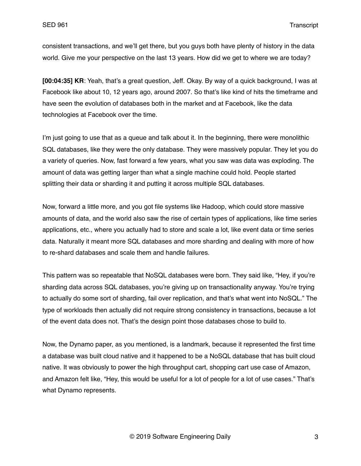consistent transactions, and we'll get there, but you guys both have plenty of history in the data world. Give me your perspective on the last 13 years. How did we get to where we are today?

**[00:04:35] KR**: Yeah, that's a great question, Jeff. Okay. By way of a quick background, I was at Facebook like about 10, 12 years ago, around 2007. So that's like kind of hits the timeframe and have seen the evolution of databases both in the market and at Facebook, like the data technologies at Facebook over the time.

I'm just going to use that as a queue and talk about it. In the beginning, there were monolithic SQL databases, like they were the only database. They were massively popular. They let you do a variety of queries. Now, fast forward a few years, what you saw was data was exploding. The amount of data was getting larger than what a single machine could hold. People started splitting their data or sharding it and putting it across multiple SQL databases.

Now, forward a little more, and you got file systems like Hadoop, which could store massive amounts of data, and the world also saw the rise of certain types of applications, like time series applications, etc., where you actually had to store and scale a lot, like event data or time series data. Naturally it meant more SQL databases and more sharding and dealing with more of how to re-shard databases and scale them and handle failures.

This pattern was so repeatable that NoSQL databases were born. They said like, "Hey, if you're sharding data across SQL databases, you're giving up on transactionality anyway. You're trying to actually do some sort of sharding, fail over replication, and that's what went into NoSQL." The type of workloads then actually did not require strong consistency in transactions, because a lot of the event data does not. That's the design point those databases chose to build to.

Now, the Dynamo paper, as you mentioned, is a landmark, because it represented the first time a database was built cloud native and it happened to be a NoSQL database that has built cloud native. It was obviously to power the high throughput cart, shopping cart use case of Amazon, and Amazon felt like, "Hey, this would be useful for a lot of people for a lot of use cases." That's what Dynamo represents.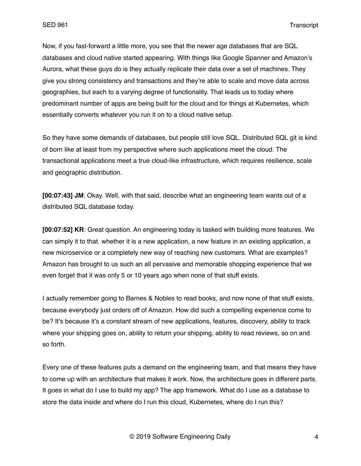Now, if you fast-forward a little more, you see that the newer age databases that are SQL databases and cloud native started appearing. With things like Google Spanner and Amazon's Aurora, what these guys do is they actually replicate their data over a set of machines. They give you strong consistency and transactions and they're able to scale and move data across geographies, but each to a varying degree of functionality. That leads us to today where predominant number of apps are being built for the cloud and for things at Kubernetes, which essentially converts whatever you run it on to a cloud native setup.

So they have some demands of databases, but people still love SQL. Distributed SQL git is kind of born like at least from my perspective where such applications meet the cloud. The transactional applications meet a true cloud-like infrastructure, which requires resilience, scale and geographic distribution.

**[00:07:43] JM**: Okay. Well, with that said, describe what an engineering team wants out of a distributed SQL database today.

**[00:07:52] KR**: Great question. An engineering today is tasked with building more features. We can simply it to that. whether it is a new application, a new feature in an existing application, a new microservice or a completely new way of reaching new customers. What are examples? Amazon has brought to us such an all pervasive and memorable shopping experience that we even forget that it was only 5 or 10 years ago when none of that stuff exists.

I actually remember going to Barnes & Nobles to read books, and now none of that stuff exists, because everybody just orders off of Amazon. How did such a compelling experience come to be? It's because it's a constant stream of new applications, features, discovery, ability to track where your shipping goes on, ability to return your shipping, ability to read reviews, so on and so forth.

Every one of these features puts a demand on the engineering team, and that means they have to come up with an architecture that makes it work. Now, the architecture goes in different parts. It goes in what do I use to build my app? The app framework. What do I use as a database to store the data inside and where do I run this cloud, Kubernetes, where do I run this?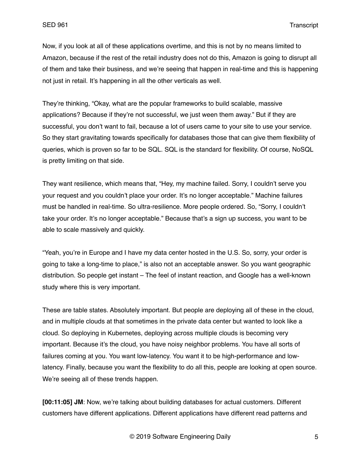Now, if you look at all of these applications overtime, and this is not by no means limited to Amazon, because if the rest of the retail industry does not do this, Amazon is going to disrupt all of them and take their business, and we're seeing that happen in real-time and this is happening not just in retail. It's happening in all the other verticals as well.

They're thinking, "Okay, what are the popular frameworks to build scalable, massive applications? Because if they're not successful, we just ween them away." But if they are successful, you don't want to fail, because a lot of users came to your site to use your service. So they start gravitating towards specifically for databases those that can give them flexibility of queries, which is proven so far to be SQL. SQL is the standard for flexibility. Of course, NoSQL is pretty limiting on that side.

They want resilience, which means that, "Hey, my machine failed. Sorry, I couldn't serve you your request and you couldn't place your order. It's no longer acceptable." Machine failures must be handled in real-time. So ultra-resilience. More people ordered. So, "Sorry, I couldn't take your order. It's no longer acceptable." Because that's a sign up success, you want to be able to scale massively and quickly.

"Yeah, you're in Europe and I have my data center hosted in the U.S. So, sorry, your order is going to take a long-time to place," is also not an acceptable answer. So you want geographic distribution. So people get instant – The feel of instant reaction, and Google has a well-known study where this is very important.

These are table states. Absolutely important. But people are deploying all of these in the cloud, and in multiple clouds at that sometimes in the private data center but wanted to look like a cloud. So deploying in Kubernetes, deploying across multiple clouds is becoming very important. Because it's the cloud, you have noisy neighbor problems. You have all sorts of failures coming at you. You want low-latency. You want it to be high-performance and lowlatency. Finally, because you want the flexibility to do all this, people are looking at open source. We're seeing all of these trends happen.

**[00:11:05] JM**: Now, we're talking about building databases for actual customers. Different customers have different applications. Different applications have different read patterns and

© 2019 Software Engineering Daily 5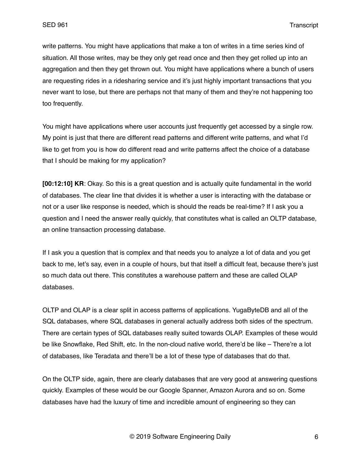write patterns. You might have applications that make a ton of writes in a time series kind of situation. All those writes, may be they only get read once and then they get rolled up into an aggregation and then they get thrown out. You might have applications where a bunch of users are requesting rides in a ridesharing service and it's just highly important transactions that you never want to lose, but there are perhaps not that many of them and they're not happening too too frequently.

You might have applications where user accounts just frequently get accessed by a single row. My point is just that there are different read patterns and different write patterns, and what I'd like to get from you is how do different read and write patterns affect the choice of a database that I should be making for my application?

**[00:12:10] KR**: Okay. So this is a great question and is actually quite fundamental in the world of databases. The clear line that divides it is whether a user is interacting with the database or not or a user like response is needed, which is should the reads be real-time? If I ask you a question and I need the answer really quickly, that constitutes what is called an OLTP database, an online transaction processing database.

If I ask you a question that is complex and that needs you to analyze a lot of data and you get back to me, let's say, even in a couple of hours, but that itself a difficult feat, because there's just so much data out there. This constitutes a warehouse pattern and these are called OLAP databases.

OLTP and OLAP is a clear split in access patterns of applications. YugaByteDB and all of the SQL databases, where SQL databases in general actually address both sides of the spectrum. There are certain types of SQL databases really suited towards OLAP. Examples of these would be like Snowflake, Red Shift, etc. In the non-cloud native world, there'd be like – There're a lot of databases, like Teradata and there'll be a lot of these type of databases that do that.

On the OLTP side, again, there are clearly databases that are very good at answering questions quickly. Examples of these would be our Google Spanner, Amazon Aurora and so on. Some databases have had the luxury of time and incredible amount of engineering so they can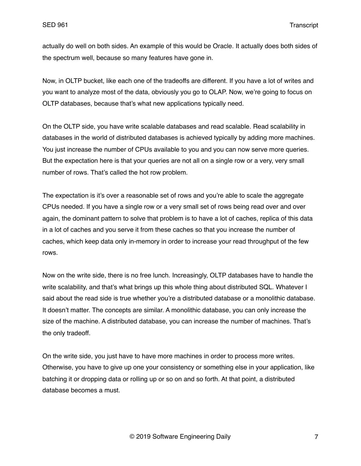actually do well on both sides. An example of this would be Oracle. It actually does both sides of the spectrum well, because so many features have gone in.

Now, in OLTP bucket, like each one of the tradeoffs are different. If you have a lot of writes and you want to analyze most of the data, obviously you go to OLAP. Now, we're going to focus on OLTP databases, because that's what new applications typically need.

On the OLTP side, you have write scalable databases and read scalable. Read scalability in databases in the world of distributed databases is achieved typically by adding more machines. You just increase the number of CPUs available to you and you can now serve more queries. But the expectation here is that your queries are not all on a single row or a very, very small number of rows. That's called the hot row problem.

The expectation is it's over a reasonable set of rows and you're able to scale the aggregate CPUs needed. If you have a single row or a very small set of rows being read over and over again, the dominant pattern to solve that problem is to have a lot of caches, replica of this data in a lot of caches and you serve it from these caches so that you increase the number of caches, which keep data only in-memory in order to increase your read throughput of the few rows.

Now on the write side, there is no free lunch. Increasingly, OLTP databases have to handle the write scalability, and that's what brings up this whole thing about distributed SQL. Whatever I said about the read side is true whether you're a distributed database or a monolithic database. It doesn't matter. The concepts are similar. A monolithic database, you can only increase the size of the machine. A distributed database, you can increase the number of machines. That's the only tradeoff.

On the write side, you just have to have more machines in order to process more writes. Otherwise, you have to give up one your consistency or something else in your application, like batching it or dropping data or rolling up or so on and so forth. At that point, a distributed database becomes a must.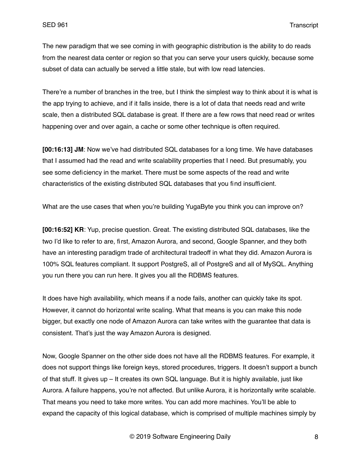The new paradigm that we see coming in with geographic distribution is the ability to do reads from the nearest data center or region so that you can serve your users quickly, because some subset of data can actually be served a little stale, but with low read latencies.

There're a number of branches in the tree, but I think the simplest way to think about it is what is the app trying to achieve, and if it falls inside, there is a lot of data that needs read and write scale, then a distributed SQL database is great. If there are a few rows that need read or writes happening over and over again, a cache or some other technique is often required.

**[00:16:13] JM**: Now we've had distributed SQL databases for a long time. We have databases that I assumed had the read and write scalability properties that I need. But presumably, you see some deficiency in the market. There must be some aspects of the read and write characteristics of the existing distributed SQL databases that you find insufficient.

What are the use cases that when you're building YugaByte you think you can improve on?

**[00:16:52] KR**: Yup, precise question. Great. The existing distributed SQL databases, like the two I'd like to refer to are, first, Amazon Aurora, and second, Google Spanner, and they both have an interesting paradigm trade of architectural tradeoff in what they did. Amazon Aurora is 100% SQL features compliant. It support PostgreS, all of PostgreS and all of MySQL. Anything you run there you can run here. It gives you all the RDBMS features.

It does have high availability, which means if a node fails, another can quickly take its spot. However, it cannot do horizontal write scaling. What that means is you can make this node bigger, but exactly one node of Amazon Aurora can take writes with the guarantee that data is consistent. That's just the way Amazon Aurora is designed.

Now, Google Spanner on the other side does not have all the RDBMS features. For example, it does not support things like foreign keys, stored procedures, triggers. It doesn't support a bunch of that stuff. It gives up – It creates its own SQL language. But it is highly available, just like Aurora. A failure happens, you're not affected. But unlike Aurora, it is horizontally write scalable. That means you need to take more writes. You can add more machines. You'll be able to expand the capacity of this logical database, which is comprised of multiple machines simply by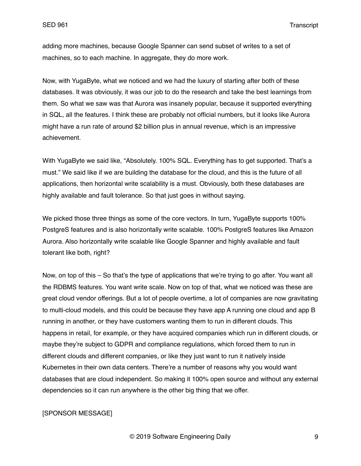adding more machines, because Google Spanner can send subset of writes to a set of machines, so to each machine. In aggregate, they do more work.

Now, with YugaByte, what we noticed and we had the luxury of starting after both of these databases. It was obviously, it was our job to do the research and take the best learnings from them. So what we saw was that Aurora was insanely popular, because it supported everything in SQL, all the features. I think these are probably not official numbers, but it looks like Aurora might have a run rate of around \$2 billion plus in annual revenue, which is an impressive achievement.

With YugaByte we said like, "Absolutely. 100% SQL. Everything has to get supported. That's a must." We said like if we are building the database for the cloud, and this is the future of all applications, then horizontal write scalability is a must. Obviously, both these databases are highly available and fault tolerance. So that just goes in without saying.

We picked those three things as some of the core vectors. In turn, YugaByte supports 100% PostgreS features and is also horizontally write scalable. 100% PostgreS features like Amazon Aurora. Also horizontally write scalable like Google Spanner and highly available and fault tolerant like both, right?

Now, on top of this – So that's the type of applications that we're trying to go after. You want all the RDBMS features. You want write scale. Now on top of that, what we noticed was these are great cloud vendor offerings. But a lot of people overtime, a lot of companies are now gravitating to multi-cloud models, and this could be because they have app A running one cloud and app B running in another, or they have customers wanting them to run in different clouds. This happens in retail, for example, or they have acquired companies which run in different clouds, or maybe they're subject to GDPR and compliance regulations, which forced them to run in different clouds and different companies, or like they just want to run it natively inside Kubernetes in their own data centers. There're a number of reasons why you would want databases that are cloud independent. So making it 100% open source and without any external dependencies so it can run anywhere is the other big thing that we offer.

## [SPONSOR MESSAGE]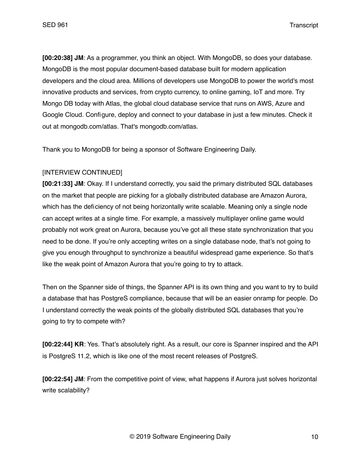**[00:20:38] JM**: As a programmer, you think an object. With MongoDB, so does your database. MongoDB is the most popular document-based database built for modern application developers and the cloud area. Millions of developers use MongoDB to power the world's most innovative products and services, from crypto currency, to online gaming, IoT and more. Try Mongo DB today with Atlas, the global cloud database service that runs on AWS, Azure and Google Cloud. Configure, deploy and connect to your database in just a few minutes. Check it out at mongodb.com/atlas. That's mongodb.com/atlas.

Thank you to MongoDB for being a sponsor of Software Engineering Daily.

# [INTERVIEW CONTINUED]

**[00:21:33] JM**: Okay. If I understand correctly, you said the primary distributed SQL databases on the market that people are picking for a globally distributed database are Amazon Aurora, which has the deficiency of not being horizontally write scalable. Meaning only a single node can accept writes at a single time. For example, a massively multiplayer online game would probably not work great on Aurora, because you've got all these state synchronization that you need to be done. If you're only accepting writes on a single database node, that's not going to give you enough throughput to synchronize a beautiful widespread game experience. So that's like the weak point of Amazon Aurora that you're going to try to attack.

Then on the Spanner side of things, the Spanner API is its own thing and you want to try to build a database that has PostgreS compliance, because that will be an easier onramp for people. Do I understand correctly the weak points of the globally distributed SQL databases that you're going to try to compete with?

**[00:22:44] KR**: Yes. That's absolutely right. As a result, our core is Spanner inspired and the API is PostgreS 11.2, which is like one of the most recent releases of PostgreS.

**[00:22:54] JM**: From the competitive point of view, what happens if Aurora just solves horizontal write scalability?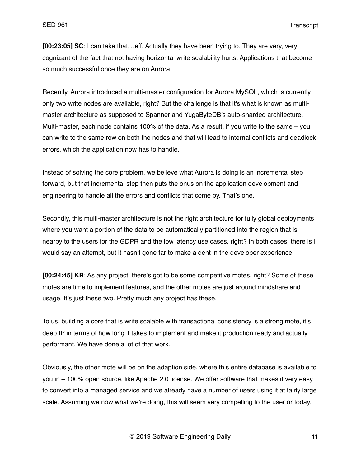**[00:23:05] SC**: I can take that, Jeff. Actually they have been trying to. They are very, very cognizant of the fact that not having horizontal write scalability hurts. Applications that become so much successful once they are on Aurora.

Recently, Aurora introduced a multi-master configuration for Aurora MySQL, which is currently only two write nodes are available, right? But the challenge is that it's what is known as multimaster architecture as supposed to Spanner and YugaByteDB's auto-sharded architecture. Multi-master, each node contains 100% of the data. As a result, if you write to the same – you can write to the same row on both the nodes and that will lead to internal conflicts and deadlock errors, which the application now has to handle.

Instead of solving the core problem, we believe what Aurora is doing is an incremental step forward, but that incremental step then puts the onus on the application development and engineering to handle all the errors and conflicts that come by. That's one.

Secondly, this multi-master architecture is not the right architecture for fully global deployments where you want a portion of the data to be automatically partitioned into the region that is nearby to the users for the GDPR and the low latency use cases, right? In both cases, there is I would say an attempt, but it hasn't gone far to make a dent in the developer experience.

**[00:24:45] KR**: As any project, there's got to be some competitive motes, right? Some of these motes are time to implement features, and the other motes are just around mindshare and usage. It's just these two. Pretty much any project has these.

To us, building a core that is write scalable with transactional consistency is a strong mote, it's deep IP in terms of how long it takes to implement and make it production ready and actually performant. We have done a lot of that work.

Obviously, the other mote will be on the adaption side, where this entire database is available to you in – 100% open source, like Apache 2.0 license. We offer software that makes it very easy to convert into a managed service and we already have a number of users using it at fairly large scale. Assuming we now what we're doing, this will seem very compelling to the user or today.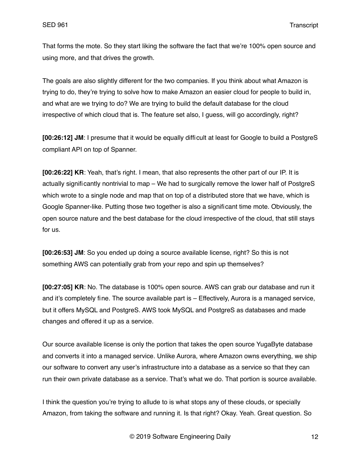That forms the mote. So they start liking the software the fact that we're 100% open source and using more, and that drives the growth.

The goals are also slightly different for the two companies. If you think about what Amazon is trying to do, they're trying to solve how to make Amazon an easier cloud for people to build in, and what are we trying to do? We are trying to build the default database for the cloud irrespective of which cloud that is. The feature set also, I guess, will go accordingly, right?

**[00:26:12] JM**: I presume that it would be equally difficult at least for Google to build a PostgreS compliant API on top of Spanner.

**[00:26:22] KR**: Yeah, that's right. I mean, that also represents the other part of our IP. It is actually significantly nontrivial to map – We had to surgically remove the lower half of PostgreS which wrote to a single node and map that on top of a distributed store that we have, which is Google Spanner-like. Putting those two together is also a significant time mote. Obviously, the open source nature and the best database for the cloud irrespective of the cloud, that still stays for us.

**[00:26:53] JM**: So you ended up doing a source available license, right? So this is not something AWS can potentially grab from your repo and spin up themselves?

**[00:27:05] KR**: No. The database is 100% open source. AWS can grab our database and run it and it's completely fine. The source available part is – Effectively, Aurora is a managed service, but it offers MySQL and PostgreS. AWS took MySQL and PostgreS as databases and made changes and offered it up as a service.

Our source available license is only the portion that takes the open source YugaByte database and converts it into a managed service. Unlike Aurora, where Amazon owns everything, we ship our software to convert any user's infrastructure into a database as a service so that they can run their own private database as a service. That's what we do. That portion is source available.

I think the question you're trying to allude to is what stops any of these clouds, or specially Amazon, from taking the software and running it. Is that right? Okay. Yeah. Great question. So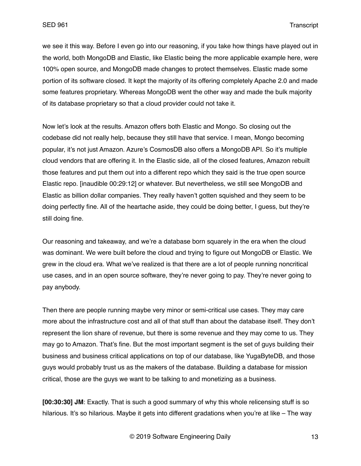we see it this way. Before I even go into our reasoning, if you take how things have played out in the world, both MongoDB and Elastic, like Elastic being the more applicable example here, were 100% open source, and MongoDB made changes to protect themselves. Elastic made some portion of its software closed. It kept the majority of its offering completely Apache 2.0 and made some features proprietary. Whereas MongoDB went the other way and made the bulk majority of its database proprietary so that a cloud provider could not take it.

Now let's look at the results. Amazon offers both Elastic and Mongo. So closing out the codebase did not really help, because they still have that service. I mean, Mongo becoming popular, it's not just Amazon. Azure's CosmosDB also offers a MongoDB API. So it's multiple cloud vendors that are offering it. In the Elastic side, all of the closed features, Amazon rebuilt those features and put them out into a different repo which they said is the true open source Elastic repo. [inaudible 00:29:12] or whatever. But nevertheless, we still see MongoDB and Elastic as billion dollar companies. They really haven't gotten squished and they seem to be doing perfectly fine. All of the heartache aside, they could be doing better, I guess, but they're still doing fine.

Our reasoning and takeaway, and we're a database born squarely in the era when the cloud was dominant. We were built before the cloud and trying to figure out MongoDB or Elastic. We grew in the cloud era. What we've realized is that there are a lot of people running noncritical use cases, and in an open source software, they're never going to pay. They're never going to pay anybody.

Then there are people running maybe very minor or semi-critical use cases. They may care more about the infrastructure cost and all of that stuff than about the database itself. They don't represent the lion share of revenue, but there is some revenue and they may come to us. They may go to Amazon. That's fine. But the most important segment is the set of guys building their business and business critical applications on top of our database, like YugaByteDB, and those guys would probably trust us as the makers of the database. Building a database for mission critical, those are the guys we want to be talking to and monetizing as a business.

**[00:30:30] JM**: Exactly. That is such a good summary of why this whole relicensing stuff is so hilarious. It's so hilarious. Maybe it gets into different gradations when you're at like – The way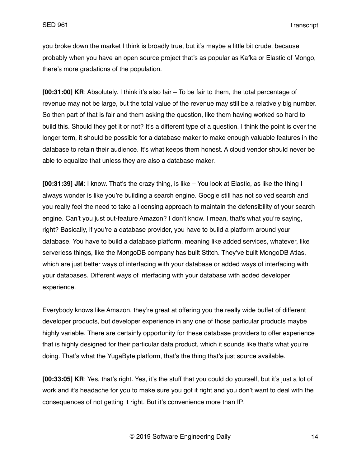you broke down the market I think is broadly true, but it's maybe a little bit crude, because probably when you have an open source project that's as popular as Kafka or Elastic of Mongo, there's more gradations of the population.

**[00:31:00] KR**: Absolutely. I think it's also fair – To be fair to them, the total percentage of revenue may not be large, but the total value of the revenue may still be a relatively big number. So then part of that is fair and them asking the question, like them having worked so hard to build this. Should they get it or not? It's a different type of a question. I think the point is over the longer term, it should be possible for a database maker to make enough valuable features in the database to retain their audience. It's what keeps them honest. A cloud vendor should never be able to equalize that unless they are also a database maker.

**[00:31:39] JM**: I know. That's the crazy thing, is like – You look at Elastic, as like the thing I always wonder is like you're building a search engine. Google still has not solved search and you really feel the need to take a licensing approach to maintain the defensibility of your search engine. Can't you just out-feature Amazon? I don't know. I mean, that's what you're saying, right? Basically, if you're a database provider, you have to build a platform around your database. You have to build a database platform, meaning like added services, whatever, like serverless things, like the MongoDB company has built Stitch. They've built MongoDB Atlas, which are just better ways of interfacing with your database or added ways of interfacing with your databases. Different ways of interfacing with your database with added developer experience.

Everybody knows like Amazon, they're great at offering you the really wide buffet of different developer products, but developer experience in any one of those particular products maybe highly variable. There are certainly opportunity for these database providers to offer experience that is highly designed for their particular data product, which it sounds like that's what you're doing. That's what the YugaByte platform, that's the thing that's just source available.

**[00:33:05] KR**: Yes, that's right. Yes, it's the stuff that you could do yourself, but it's just a lot of work and it's headache for you to make sure you got it right and you don't want to deal with the consequences of not getting it right. But it's convenience more than IP.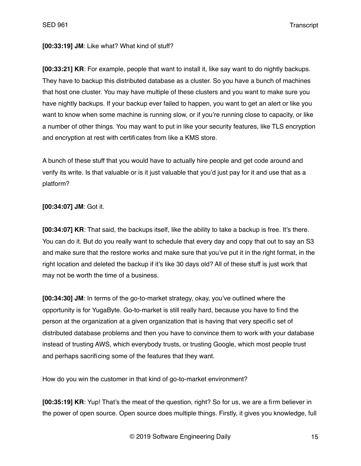#### **[00:33:19] JM**: Like what? What kind of stuff?

**[00:33:21] KR**: For example, people that want to install it, like say want to do nightly backups. They have to backup this distributed database as a cluster. So you have a bunch of machines that host one cluster. You may have multiple of these clusters and you want to make sure you have nightly backups. If your backup ever failed to happen, you want to get an alert or like you want to know when some machine is running slow, or if you're running close to capacity, or like a number of other things. You may want to put in like your security features, like TLS encryption and encryption at rest with certificates from like a KMS store.

A bunch of these stuff that you would have to actually hire people and get code around and verify its write. Is that valuable or is it just valuable that you'd just pay for it and use that as a platform?

### **[00:34:07] JM**: Got it.

**[00:34:07] KR**: That said, the backups itself, like the ability to take a backup is free. It's there. You can do it. But do you really want to schedule that every day and copy that out to say an S3 and make sure that the restore works and make sure that you've put it in the right format, in the right location and deleted the backup if it's like 30 days old? All of these stuff is just work that may not be worth the time of a business.

**[00:34:30] JM**: In terms of the go-to-market strategy, okay, you've outlined where the opportunity is for YugaByte. Go-to-market is still really hard, because you have to find the person at the organization at a given organization that is having that very specific set of distributed database problems and then you have to convince them to work with your database instead of trusting AWS, which everybody trusts, or trusting Google, which most people trust and perhaps sacrificing some of the features that they want.

How do you win the customer in that kind of go-to-market environment?

**[00:35:19] KR**: Yup! That's the meat of the question, right? So for us, we are a firm believer in the power of open source. Open source does multiple things. Firstly, it gives you knowledge, full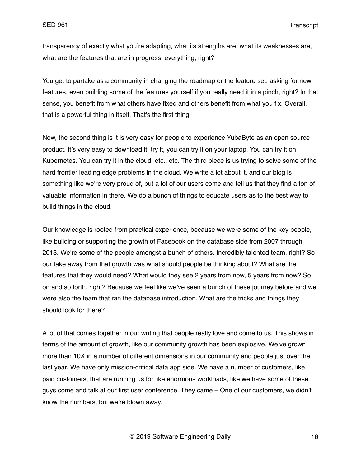transparency of exactly what you're adapting, what its strengths are, what its weaknesses are, what are the features that are in progress, everything, right?

You get to partake as a community in changing the roadmap or the feature set, asking for new features, even building some of the features yourself if you really need it in a pinch, right? In that sense, you benefit from what others have fixed and others benefit from what you fix. Overall, that is a powerful thing in itself. That's the first thing.

Now, the second thing is it is very easy for people to experience YubaByte as an open source product. It's very easy to download it, try it, you can try it on your laptop. You can try it on Kubernetes. You can try it in the cloud, etc., etc. The third piece is us trying to solve some of the hard frontier leading edge problems in the cloud. We write a lot about it, and our blog is something like we're very proud of, but a lot of our users come and tell us that they find a ton of valuable information in there. We do a bunch of things to educate users as to the best way to build things in the cloud.

Our knowledge is rooted from practical experience, because we were some of the key people, like building or supporting the growth of Facebook on the database side from 2007 through 2013. We're some of the people amongst a bunch of others. Incredibly talented team, right? So our take away from that growth was what should people be thinking about? What are the features that they would need? What would they see 2 years from now, 5 years from now? So on and so forth, right? Because we feel like we've seen a bunch of these journey before and we were also the team that ran the database introduction. What are the tricks and things they should look for there?

A lot of that comes together in our writing that people really love and come to us. This shows in terms of the amount of growth, like our community growth has been explosive. We've grown more than 10X in a number of different dimensions in our community and people just over the last year. We have only mission-critical data app side. We have a number of customers, like paid customers, that are running us for like enormous workloads, like we have some of these guys come and talk at our first user conference. They came – One of our customers, we didn't know the numbers, but we're blown away.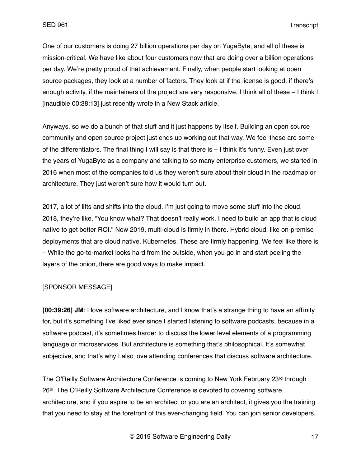One of our customers is doing 27 billion operations per day on YugaByte, and all of these is mission-critical. We have like about four customers now that are doing over a billion operations per day. We're pretty proud of that achievement. Finally, when people start looking at open source packages, they look at a number of factors. They look at if the license is good, if there's enough activity, if the maintainers of the project are very responsive. I think all of these – I think I [inaudible 00:38:13] just recently wrote in a New Stack article.

Anyways, so we do a bunch of that stuff and it just happens by itself. Building an open source community and open source project just ends up working out that way. We feel these are some of the differentiators. The final thing I will say is that there is – I think it's funny. Even just over the years of YugaByte as a company and talking to so many enterprise customers, we started in 2016 when most of the companies told us they weren't sure about their cloud in the roadmap or architecture. They just weren't sure how it would turn out.

2017, a lot of lifts and shifts into the cloud. I'm just going to move some stuff into the cloud. 2018, they're like, "You know what? That doesn't really work. I need to build an app that is cloud native to get better ROI." Now 2019, multi-cloud is firmly in there. Hybrid cloud, like on-premise deployments that are cloud native, Kubernetes. These are firmly happening. We feel like there is – While the go-to-market looks hard from the outside, when you go in and start peeling the layers of the onion, there are good ways to make impact.

#### [SPONSOR MESSAGE]

**[00:39:26] JM**: I love software architecture, and I know that's a strange thing to have an affinity for, but it's something I've liked ever since I started listening to software podcasts, because in a software podcast, it's sometimes harder to discuss the lower level elements of a programming language or microservices. But architecture is something that's philosophical. It's somewhat subjective, and that's why I also love attending conferences that discuss software architecture.

The O'Reilly Software Architecture Conference is coming to New York February 23rd through 26th. The O'Reilly Software Architecture Conference is devoted to covering software architecture, and if you aspire to be an architect or you are an architect, it gives you the training that you need to stay at the forefront of this ever-changing field. You can join senior developers,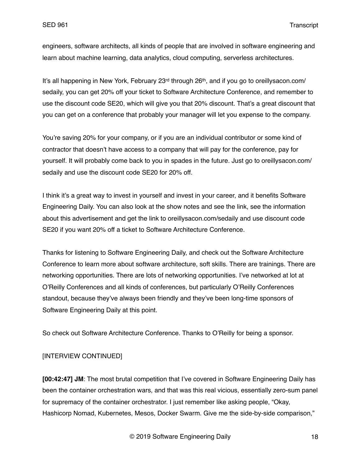engineers, software architects, all kinds of people that are involved in software engineering and learn about machine learning, data analytics, cloud computing, serverless architectures.

It's all happening in New York, February 23<sup>rd</sup> through 26<sup>th</sup>, and if you go to oreillysacon.com/ sedaily, you can get 20% off your ticket to Software Architecture Conference, and remember to use the discount code SE20, which will give you that 20% discount. That's a great discount that you can get on a conference that probably your manager will let you expense to the company.

You're saving 20% for your company, or if you are an individual contributor or some kind of contractor that doesn't have access to a company that will pay for the conference, pay for yourself. It will probably come back to you in spades in the future. Just go to oreillysacon.com/ sedaily and use the discount code SE20 for 20% off.

I think it's a great way to invest in yourself and invest in your career, and it benefits Software Engineering Daily. You can also look at the show notes and see the link, see the information about this advertisement and get the link to oreillysacon.com/sedaily and use discount code SE20 if you want 20% off a ticket to Software Architecture Conference.

Thanks for listening to Software Engineering Daily, and check out the Software Architecture Conference to learn more about software architecture, soft skills. There are trainings. There are networking opportunities. There are lots of networking opportunities. I've networked at lot at O'Reilly Conferences and all kinds of conferences, but particularly O'Reilly Conferences standout, because they've always been friendly and they've been long-time sponsors of Software Engineering Daily at this point.

So check out Software Architecture Conference. Thanks to O'Reilly for being a sponsor.

## [INTERVIEW CONTINUED]

**[00:42:47] JM**: The most brutal competition that I've covered in Software Engineering Daily has been the container orchestration wars, and that was this real vicious, essentially zero-sum panel for supremacy of the container orchestrator. I just remember like asking people, "Okay, Hashicorp Nomad, Kubernetes, Mesos, Docker Swarm. Give me the side-by-side comparison,"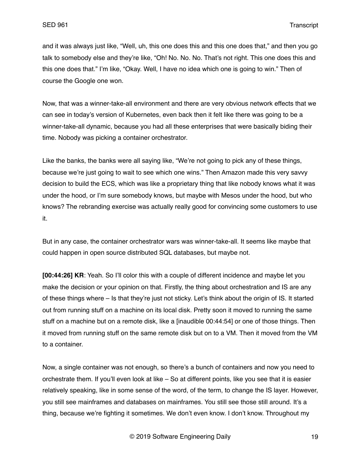and it was always just like, "Well, uh, this one does this and this one does that," and then you go talk to somebody else and they're like, "Oh! No. No. No. That's not right. This one does this and this one does that." I'm like, "Okay. Well, I have no idea which one is going to win." Then of course the Google one won.

Now, that was a winner-take-all environment and there are very obvious network effects that we can see in today's version of Kubernetes, even back then it felt like there was going to be a winner-take-all dynamic, because you had all these enterprises that were basically biding their time. Nobody was picking a container orchestrator.

Like the banks, the banks were all saying like, "We're not going to pick any of these things, because we're just going to wait to see which one wins." Then Amazon made this very savvy decision to build the ECS, which was like a proprietary thing that like nobody knows what it was under the hood, or I'm sure somebody knows, but maybe with Mesos under the hood, but who knows? The rebranding exercise was actually really good for convincing some customers to use it.

But in any case, the container orchestrator wars was winner-take-all. It seems like maybe that could happen in open source distributed SQL databases, but maybe not.

**[00:44:26] KR**: Yeah. So I'll color this with a couple of different incidence and maybe let you make the decision or your opinion on that. Firstly, the thing about orchestration and IS are any of these things where – Is that they're just not sticky. Let's think about the origin of IS. It started out from running stuff on a machine on its local disk. Pretty soon it moved to running the same stuff on a machine but on a remote disk, like a [inaudible 00:44:54] or one of those things. Then it moved from running stuff on the same remote disk but on to a VM. Then it moved from the VM to a container.

Now, a single container was not enough, so there's a bunch of containers and now you need to orchestrate them. If you'll even look at like – So at different points, like you see that it is easier relatively speaking, like in some sense of the word, of the term, to change the IS layer. However, you still see mainframes and databases on mainframes. You still see those still around. It's a thing, because we're fighting it sometimes. We don't even know. I don't know. Throughout my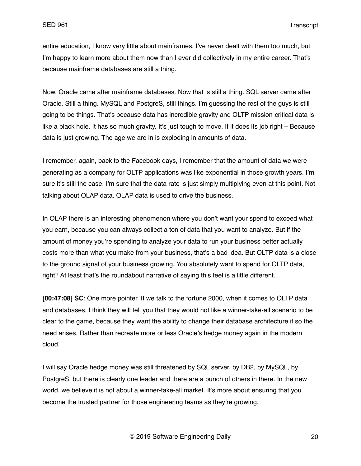entire education, I know very little about mainframes. I've never dealt with them too much, but I'm happy to learn more about them now than I ever did collectively in my entire career. That's because mainframe databases are still a thing.

Now, Oracle came after mainframe databases. Now that is still a thing. SQL server came after Oracle. Still a thing. MySQL and PostgreS, still things. I'm guessing the rest of the guys is still going to be things. That's because data has incredible gravity and OLTP mission-critical data is like a black hole. It has so much gravity. It's just tough to move. If it does its job right – Because data is just growing. The age we are in is exploding in amounts of data.

I remember, again, back to the Facebook days, I remember that the amount of data we were generating as a company for OLTP applications was like exponential in those growth years. I'm sure it's still the case. I'm sure that the data rate is just simply multiplying even at this point. Not talking about OLAP data. OLAP data is used to drive the business.

In OLAP there is an interesting phenomenon where you don't want your spend to exceed what you earn, because you can always collect a ton of data that you want to analyze. But if the amount of money you're spending to analyze your data to run your business better actually costs more than what you make from your business, that's a bad idea. But OLTP data is a close to the ground signal of your business growing. You absolutely want to spend for OLTP data, right? At least that's the roundabout narrative of saying this feel is a little different.

**[00:47:08] SC**: One more pointer. If we talk to the fortune 2000, when it comes to OLTP data and databases, I think they will tell you that they would not like a winner-take-all scenario to be clear to the game, because they want the ability to change their database architecture if so the need arises. Rather than recreate more or less Oracle's hedge money again in the modern cloud.

I will say Oracle hedge money was still threatened by SQL server, by DB2, by MySQL, by PostgreS, but there is clearly one leader and there are a bunch of others in there. In the new world, we believe it is not about a winner-take-all market. It's more about ensuring that you become the trusted partner for those engineering teams as they're growing.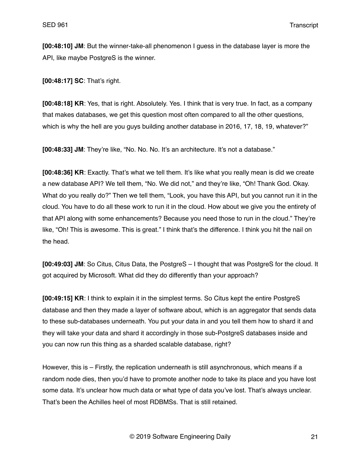**[00:48:10] JM**: But the winner-take-all phenomenon I guess in the database layer is more the API, like maybe PostgreS is the winner.

**[00:48:17] SC**: That's right.

**[00:48:18] KR**: Yes, that is right. Absolutely. Yes. I think that is very true. In fact, as a company that makes databases, we get this question most often compared to all the other questions, which is why the hell are you guys building another database in 2016, 17, 18, 19, whatever?"

**[00:48:33] JM**: They're like, "No. No. No. It's an architecture. It's not a database."

**[00:48:36] KR**: Exactly. That's what we tell them. It's like what you really mean is did we create a new database API? We tell them, "No. We did not," and they're like, "Oh! Thank God. Okay. What do you really do?" Then we tell them, "Look, you have this API, but you cannot run it in the cloud. You have to do all these work to run it in the cloud. How about we give you the entirety of that API along with some enhancements? Because you need those to run in the cloud." They're like, "Oh! This is awesome. This is great." I think that's the difference. I think you hit the nail on the head.

**[00:49:03] JM**: So Citus, Citus Data, the PostgreS – I thought that was PostgreS for the cloud. It got acquired by Microsoft. What did they do differently than your approach?

**[00:49:15] KR**: I think to explain it in the simplest terms. So Citus kept the entire PostgreS database and then they made a layer of software about, which is an aggregator that sends data to these sub-databases underneath. You put your data in and you tell them how to shard it and they will take your data and shard it accordingly in those sub-PostgreS databases inside and you can now run this thing as a sharded scalable database, right?

However, this is – Firstly, the replication underneath is still asynchronous, which means if a random node dies, then you'd have to promote another node to take its place and you have lost some data. It's unclear how much data or what type of data you've lost. That's always unclear. That's been the Achilles heel of most RDBMSs. That is still retained.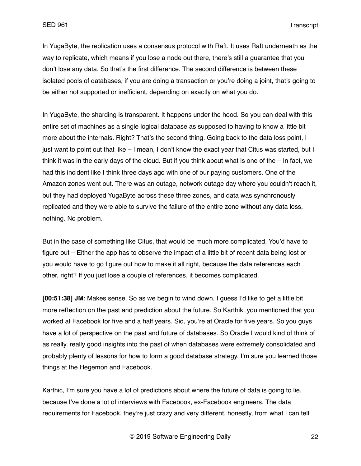In YugaByte, the replication uses a consensus protocol with Raft. It uses Raft underneath as the way to replicate, which means if you lose a node out there, there's still a guarantee that you don't lose any data. So that's the first difference. The second difference is between these isolated pools of databases, if you are doing a transaction or you're doing a joint, that's going to be either not supported or inefficient, depending on exactly on what you do.

In YugaByte, the sharding is transparent. It happens under the hood. So you can deal with this entire set of machines as a single logical database as supposed to having to know a little bit more about the internals. Right? That's the second thing. Going back to the data loss point, I just want to point out that like – I mean, I don't know the exact year that Citus was started, but I think it was in the early days of the cloud. But if you think about what is one of the – In fact, we had this incident like I think three days ago with one of our paying customers. One of the Amazon zones went out. There was an outage, network outage day where you couldn't reach it, but they had deployed YugaByte across these three zones, and data was synchronously replicated and they were able to survive the failure of the entire zone without any data loss, nothing. No problem.

But in the case of something like Citus, that would be much more complicated. You'd have to figure out – Either the app has to observe the impact of a little bit of recent data being lost or you would have to go figure out how to make it all right, because the data references each other, right? If you just lose a couple of references, it becomes complicated.

**[00:51:38] JM**: Makes sense. So as we begin to wind down, I guess I'd like to get a little bit more reflection on the past and prediction about the future. So Karthik, you mentioned that you worked at Facebook for five and a half years. Sid, you're at Oracle for five years. So you guys have a lot of perspective on the past and future of databases. So Oracle I would kind of think of as really, really good insights into the past of when databases were extremely consolidated and probably plenty of lessons for how to form a good database strategy. I'm sure you learned those things at the Hegemon and Facebook.

Karthic, I'm sure you have a lot of predictions about where the future of data is going to lie, because I've done a lot of interviews with Facebook, ex-Facebook engineers. The data requirements for Facebook, they're just crazy and very different, honestly, from what I can tell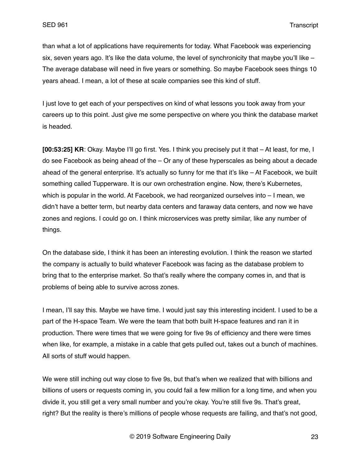than what a lot of applications have requirements for today. What Facebook was experiencing six, seven years ago. It's like the data volume, the level of synchronicity that maybe you'll like – The average database will need in five years or something. So maybe Facebook sees things 10 years ahead. I mean, a lot of these at scale companies see this kind of stuff.

I just love to get each of your perspectives on kind of what lessons you took away from your careers up to this point. Just give me some perspective on where you think the database market is headed.

**[00:53:25] KR**: Okay. Maybe I'll go first. Yes. I think you precisely put it that – At least, for me, I do see Facebook as being ahead of the – Or any of these hyperscales as being about a decade ahead of the general enterprise. It's actually so funny for me that it's like – At Facebook, we built something called Tupperware. It is our own orchestration engine. Now, there's Kubernetes, which is popular in the world. At Facebook, we had reorganized ourselves into – I mean, we didn't have a better term, but nearby data centers and faraway data centers, and now we have zones and regions. I could go on. I think microservices was pretty similar, like any number of things.

On the database side, I think it has been an interesting evolution. I think the reason we started the company is actually to build whatever Facebook was facing as the database problem to bring that to the enterprise market. So that's really where the company comes in, and that is problems of being able to survive across zones.

I mean, I'll say this. Maybe we have time. I would just say this interesting incident. I used to be a part of the H-space Team. We were the team that both built H-space features and ran it in production. There were times that we were going for five 9s of efficiency and there were times when like, for example, a mistake in a cable that gets pulled out, takes out a bunch of machines. All sorts of stuff would happen.

We were still inching out way close to five 9s, but that's when we realized that with billions and billions of users or requests coming in, you could fail a few million for a long time, and when you divide it, you still get a very small number and you're okay. You're still five 9s. That's great, right? But the reality is there's millions of people whose requests are failing, and that's not good,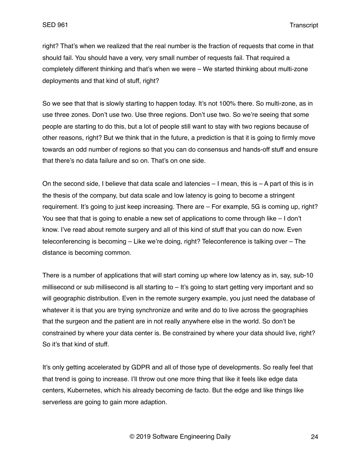right? That's when we realized that the real number is the fraction of requests that come in that should fail. You should have a very, very small number of requests fail. That required a completely different thinking and that's when we were – We started thinking about multi-zone deployments and that kind of stuff, right?

So we see that that is slowly starting to happen today. It's not 100% there. So multi-zone, as in use three zones. Don't use two. Use three regions. Don't use two. So we're seeing that some people are starting to do this, but a lot of people still want to stay with two regions because of other reasons, right? But we think that in the future, a prediction is that it is going to firmly move towards an odd number of regions so that you can do consensus and hands-off stuff and ensure that there's no data failure and so on. That's on one side.

On the second side, I believe that data scale and latencies  $-1$  mean, this is  $- A$  part of this is in the thesis of the company, but data scale and low latency is going to become a stringent requirement. It's going to just keep increasing. There are – For example, 5G is coming up, right? You see that that is going to enable a new set of applications to come through like – I don't know. I've read about remote surgery and all of this kind of stuff that you can do now. Even teleconferencing is becoming – Like we're doing, right? Teleconference is talking over – The distance is becoming common.

There is a number of applications that will start coming up where low latency as in, say, sub-10 millisecond or sub millisecond is all starting to – It's going to start getting very important and so will geographic distribution. Even in the remote surgery example, you just need the database of whatever it is that you are trying synchronize and write and do to live across the geographies that the surgeon and the patient are in not really anywhere else in the world. So don't be constrained by where your data center is. Be constrained by where your data should live, right? So it's that kind of stuff.

It's only getting accelerated by GDPR and all of those type of developments. So really feel that that trend is going to increase. I'll throw out one more thing that like it feels like edge data centers, Kubernetes, which his already becoming de facto. But the edge and like things like serverless are going to gain more adaption.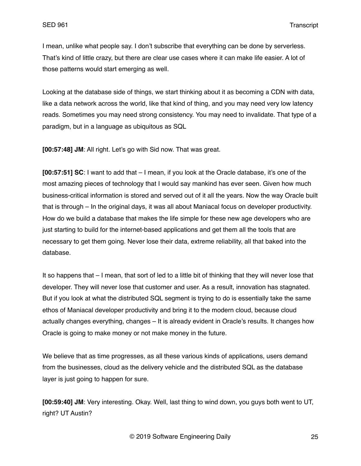I mean, unlike what people say. I don't subscribe that everything can be done by serverless. That's kind of little crazy, but there are clear use cases where it can make life easier. A lot of those patterns would start emerging as well.

Looking at the database side of things, we start thinking about it as becoming a CDN with data, like a data network across the world, like that kind of thing, and you may need very low latency reads. Sometimes you may need strong consistency. You may need to invalidate. That type of a paradigm, but in a language as ubiquitous as SQL

**[00:57:48] JM**: All right. Let's go with Sid now. That was great.

**[00:57:51] SC**: I want to add that – I mean, if you look at the Oracle database, it's one of the most amazing pieces of technology that I would say mankind has ever seen. Given how much business-critical information is stored and served out of it all the years. Now the way Oracle built that is through – In the original days, it was all about Maniacal focus on developer productivity. How do we build a database that makes the life simple for these new age developers who are just starting to build for the internet-based applications and get them all the tools that are necessary to get them going. Never lose their data, extreme reliability, all that baked into the database.

It so happens that – I mean, that sort of led to a little bit of thinking that they will never lose that developer. They will never lose that customer and user. As a result, innovation has stagnated. But if you look at what the distributed SQL segment is trying to do is essentially take the same ethos of Maniacal developer productivity and bring it to the modern cloud, because cloud actually changes everything, changes – It is already evident in Oracle's results. It changes how Oracle is going to make money or not make money in the future.

We believe that as time progresses, as all these various kinds of applications, users demand from the businesses, cloud as the delivery vehicle and the distributed SQL as the database layer is just going to happen for sure.

**[00:59:40] JM**: Very interesting. Okay. Well, last thing to wind down, you guys both went to UT, right? UT Austin?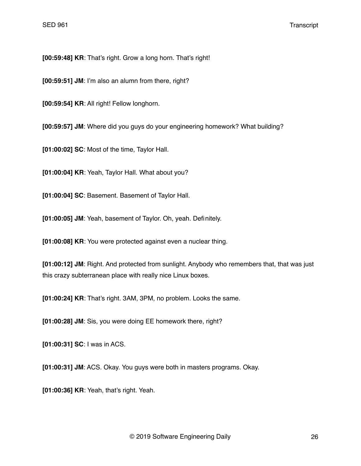**[00:59:48] KR**: That's right. Grow a long horn. That's right!

**[00:59:51] JM**: I'm also an alumn from there, right?

**[00:59:54] KR**: All right! Fellow longhorn.

**[00:59:57] JM**: Where did you guys do your engineering homework? What building?

**[01:00:02] SC**: Most of the time, Taylor Hall.

**[01:00:04] KR**: Yeah, Taylor Hall. What about you?

**[01:00:04] SC**: Basement. Basement of Taylor Hall.

**[01:00:05] JM**: Yeah, basement of Taylor. Oh, yeah. Definitely.

**[01:00:08] KR**: You were protected against even a nuclear thing.

**[01:00:12] JM**: Right. And protected from sunlight. Anybody who remembers that, that was just this crazy subterranean place with really nice Linux boxes.

**[01:00:24] KR**: That's right. 3AM, 3PM, no problem. Looks the same.

**[01:00:28] JM**: Sis, you were doing EE homework there, right?

**[01:00:31] SC**: I was in ACS.

**[01:00:31] JM**: ACS. Okay. You guys were both in masters programs. Okay.

**[01:00:36] KR**: Yeah, that's right. Yeah.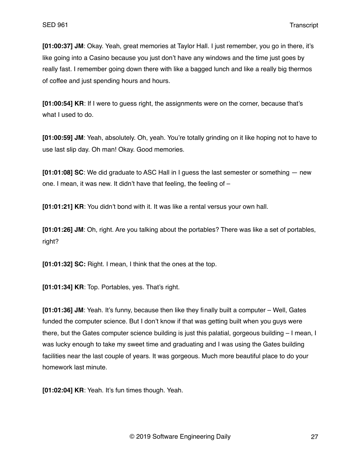**[01:00:37] JM**: Okay. Yeah, great memories at Taylor Hall. I just remember, you go in there, it's like going into a Casino because you just don't have any windows and the time just goes by really fast. I remember going down there with like a bagged lunch and like a really big thermos of coffee and just spending hours and hours.

**[01:00:54] KR**: If I were to guess right, the assignments were on the corner, because that's what I used to do.

**[01:00:59] JM**: Yeah, absolutely. Oh, yeah. You're totally grinding on it like hoping not to have to use last slip day. Oh man! Okay. Good memories.

**[01:01:08] SC**: We did graduate to ASC Hall in I guess the last semester or something — new one. I mean, it was new. It didn't have that feeling, the feeling of –

**[01:01:21] KR**: You didn't bond with it. It was like a rental versus your own hall.

**[01:01:26] JM**: Oh, right. Are you talking about the portables? There was like a set of portables, right?

**[01:01:32] SC:** Right. I mean, I think that the ones at the top.

**[01:01:34] KR**: Top. Portables, yes. That's right.

**[01:01:36] JM**: Yeah. It's funny, because then like they finally built a computer – Well, Gates funded the computer science. But I don't know if that was getting built when you guys were there, but the Gates computer science building is just this palatial, gorgeous building – I mean, I was lucky enough to take my sweet time and graduating and I was using the Gates building facilities near the last couple of years. It was gorgeous. Much more beautiful place to do your homework last minute.

**[01:02:04] KR**: Yeah. It's fun times though. Yeah.